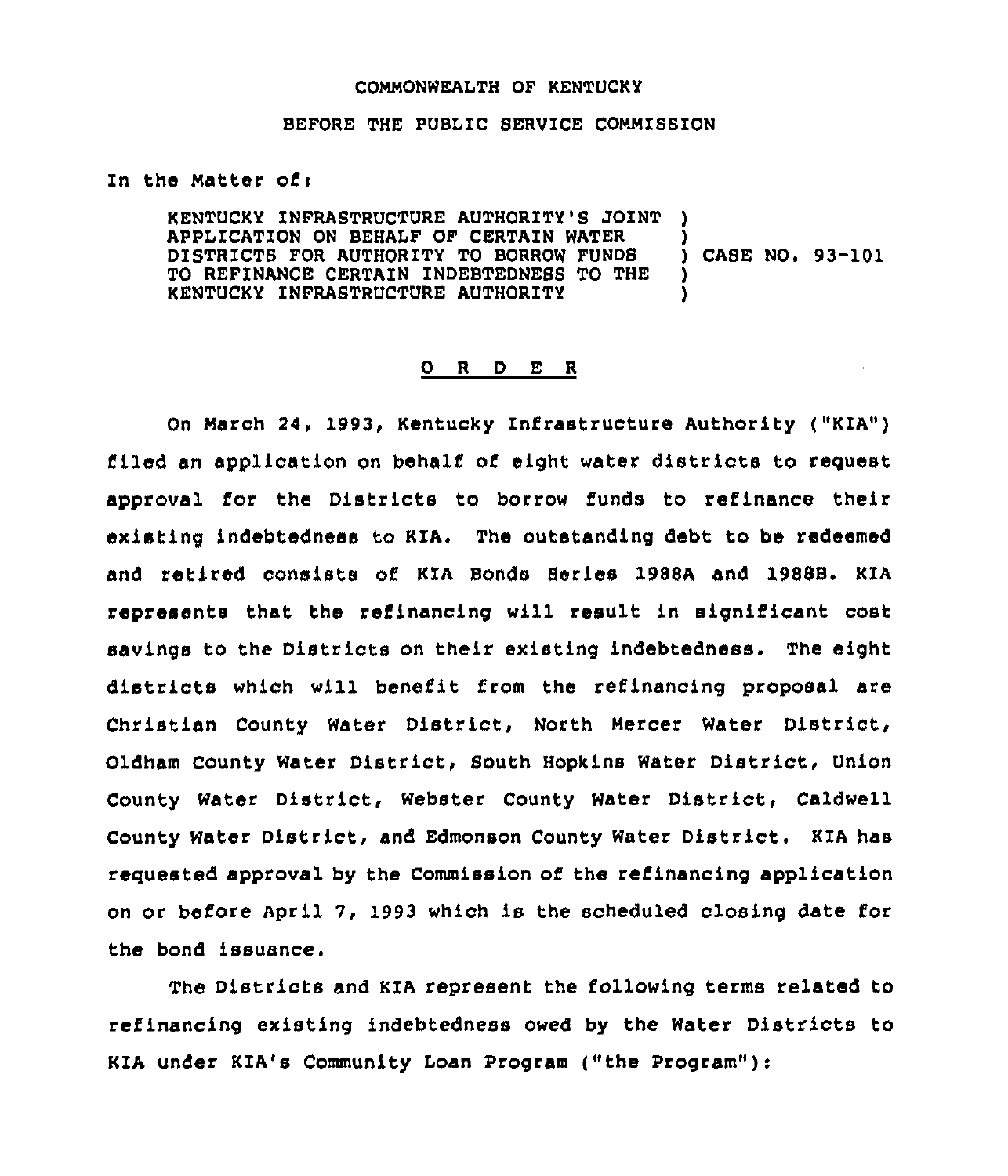## COMMONWEALTH OF KENTUCKY

## BEFORE THE PUBLIC SERVICE COMMISSION

In the Matter of:

KENTUCKY ZNFRASTRUCTURE AUTHORITY'S JOINT APPLICATION ON BEHALF OF CERTAIN WATER DISTRICTS FOR AUTHORITY TO BORROW FUNDB TO REFINANCE CERTAIN INDEBTEDNESS TO THE KENTUCKY INFRABTRUCTURE AUTHORITY ) )<br>) CASE NO. 93-101 ) )

## 0 R <sup>D</sup> E <sup>R</sup>

On March 24, 1993, Kentucky Infrastructure Authority ("KIA") flied an application on behalf of eight water districts to request approval for the Districts to borrow funds to refinance their existing indebtedness to KIA, The outstanding debt to be redeemed and retired consists of KZA Bonds Series 1988A and 1988B. KIA represents that the refinancing will result ln significant cost savings to the Districts on their existing indebtedness. The eight districts which will benefit from the refinancing proposal are Chrlstlan County Water District, North Mercer Water District, Oldham County water District, Bouth Hopkins Water District, Union County Water District, Webster County Water District, Caldwell County Water District, and Edmonson County Water District. KIA has requested approval by the Commission of the refinancing application on or before April 7, 1993 which is the scheduled closing date for the bond issuance.

The Districts and KIA represent the following terms related to refinancing existing indebtedness owed by the Water Districts to KZA under KIA's Community Loan Program ("the Program" ):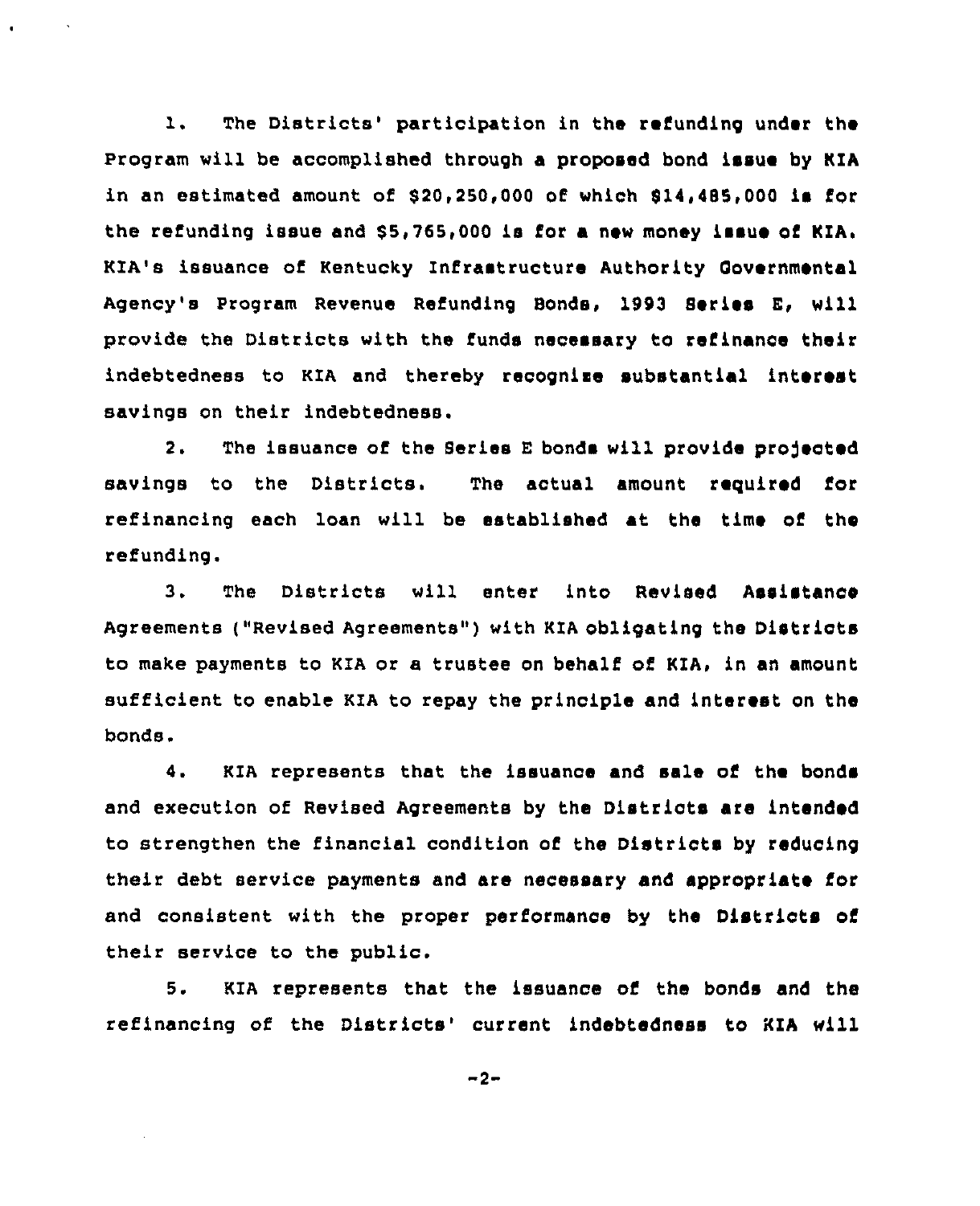1. The Districts' participation in the refunding under the Program will be accomplished through a proposed bond issue by KIA in an estimated amount of  $$20,250,000$  of which  $$14,485,000$  im for the refunding issue and \$5,765,000 is for a new money issue of KIA. KIA's issuance of Kentucky Infrastructure Authority Oovernmental Agency's Program Revenue Refunding Bonds, 1993 Series E, will provide the Districts with the funds necessary to refinance their indebtedness to KIA and thereby recognise substantial interest savings on their indebtedness.

2. The issuance of the Series E bonds will provide projected savings to the Districts. The actual amount required for refinancing each loan will be established at the time of the refunding.

3. The Districts will enter into Revised Assistance Agreements ("Revised Agreements") with KIA obligating the Districts to make payments to KIA or a trustee on behalf of KIA, in an amount sufficient to enable KIA to repay the principle and interest on the bonds.

4. KIA represents that the issuance and sale of the bonds and execution of Revised Agreements by the Districts are intended to strengthen the financial condition of the Districts by reducing their debt service payments and are necessary and appropriate for and consistent with the proper performance by the Districts of their service to the public.

5. KIA represents that the issuance of the bonds and the refinancing of the Districts' current indebtedness to KIA will

 $-2-$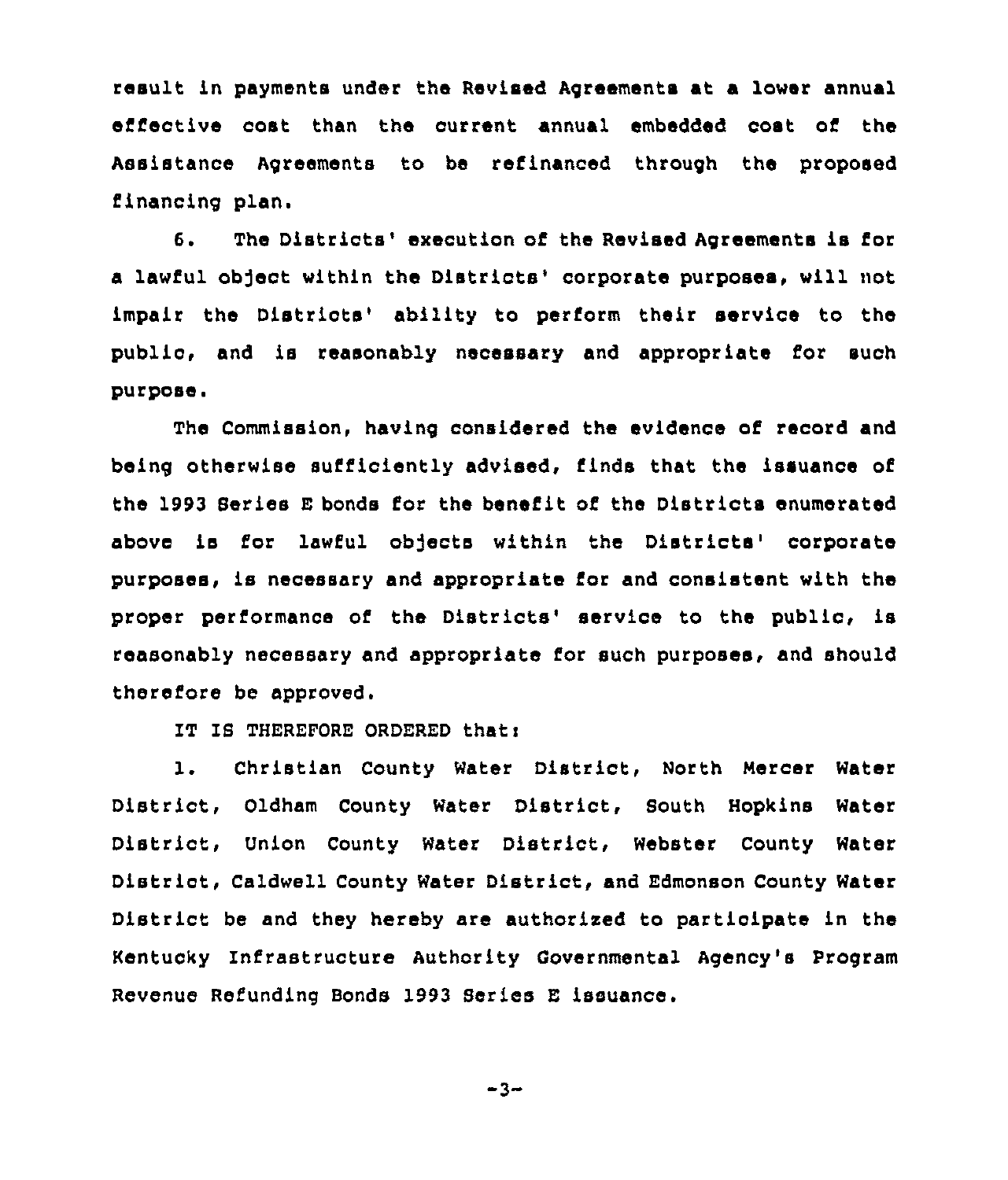result in payments under the Revised Agreements at a lower annual effective cost than the current annual embedded cost of the Assistance Agreements to be refinanced through the proposed financing plan.

6. The Districts' execution of the Revised Agreements is for a lawful object within the Districts'orporate purposes, will not impair the Districts' ability to perform their service to the public, and is reasonably necessary and appropriate for such purpose.

The Commission, having considered the evidence of record and being otherwise sufficiently advised, finds that the issuance of the 1993 Series E bonds for the benefit of the Districts enumerated above is for lawful objects within the Districts' corporate purposes, is necessary and appropriate for and consistent with the proper performance of the Districts' service to the public, is reasonably necessary and appropriate for such purposes, and should therefore be approved.

IT IS THEREFORE ORDERED that:

l. Christian County Water District, North Mercer Water District, Oldham County Water District, South Hopkins Water District, Union County Water District, Webster County Water District, Caldwell County Water District, and Edmonson County Water District be and they hereby are authorised to participate in the Kentucky Infrastructure Authority Governmental Agency's Program Revenue Refunding Bonds 1993 Series E issuance.

$$
-3 -
$$